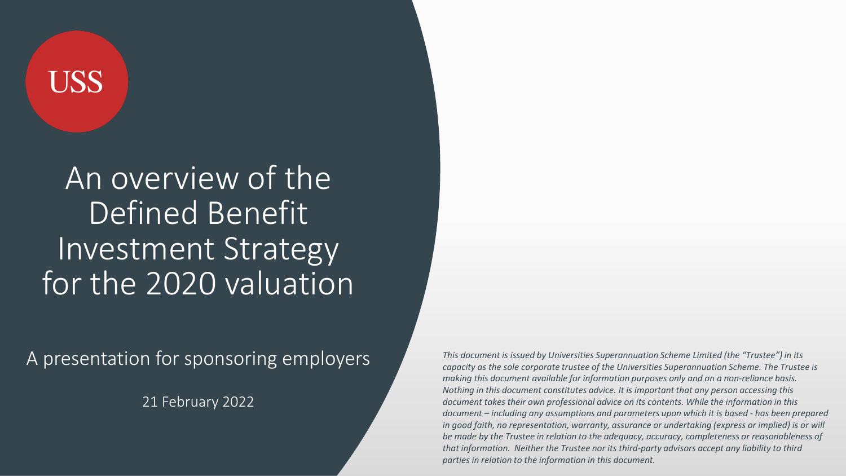# **USS**

### An overview of the Defined Benefit Investment Strategy for the 2020 valuation

A presentation for sponsoring employers

21 February 2022

*This document is issued by Universities Superannuation Scheme Limited (the "Trustee") in its capacity as the sole corporate trustee of the Universities Superannuation Scheme. The Trustee is making this document available for information purposes only and on a non-reliance basis. Nothing in this document constitutes advice. It is important that any person accessing this document takes their own professional advice on its contents. While the information in this document – including any assumptions and parameters upon which it is based - has been prepared in good faith, no representation, warranty, assurance or undertaking (express or implied) is or will be made by the Trustee in relation to the adequacy, accuracy, completeness or reasonableness of that information. Neither the Trustee nor its third-party advisors accept any liability to third parties in relation to the information in this document.*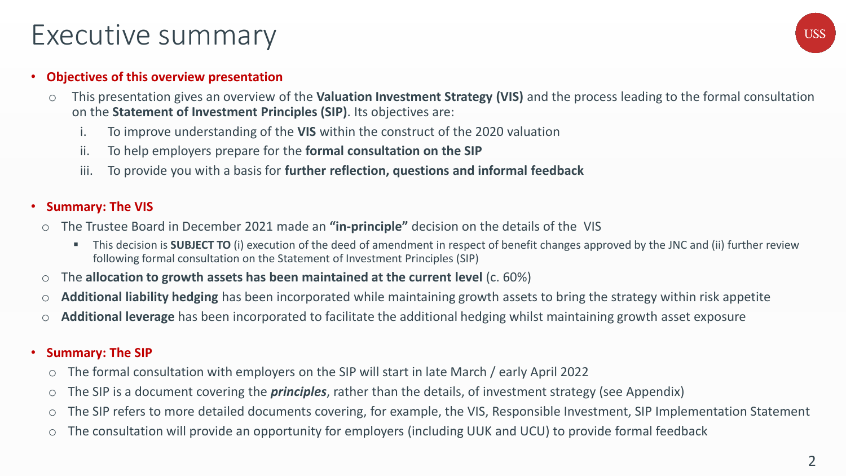### Executive summary

#### • **Objectives of this overview presentation**

- o This presentation gives an overview of the **Valuation Investment Strategy (VIS)** and the process leading to the formal consultation on the **Statement of Investment Principles (SIP)**. Its objectives are:
	- i. To improve understanding of the **VIS** within the construct of the 2020 valuation
	- ii. To help employers prepare for the **formal consultation on the SIP**
	- iii. To provide you with a basis for **further reflection, questions and informal feedback**

#### • **Summary: The VIS**

- o The Trustee Board in December 2021 made an **"in-principle"** decision on the details of the VIS
	- **This decision is SUBJECT TO** (i) execution of the deed of amendment in respect of benefit changes approved by the JNC and (ii) further review following formal consultation on the Statement of Investment Principles (SIP)
- o The **allocation to growth assets has been maintained at the current level** (c. 60%)
- o **Additional liability hedging** has been incorporated while maintaining growth assets to bring the strategy within risk appetite
- o **Additional leverage** has been incorporated to facilitate the additional hedging whilst maintaining growth asset exposure

#### • **Summary: The SIP**

- o The formal consultation with employers on the SIP will start in late March / early April 2022
- o The SIP is a document covering the *principles*, rather than the details, of investment strategy (see Appendix)
- o The SIP refers to more detailed documents covering, for example, the VIS, Responsible Investment, SIP Implementation Statement
- o The consultation will provide an opportunity for employers (including UUK and UCU) to provide formal feedback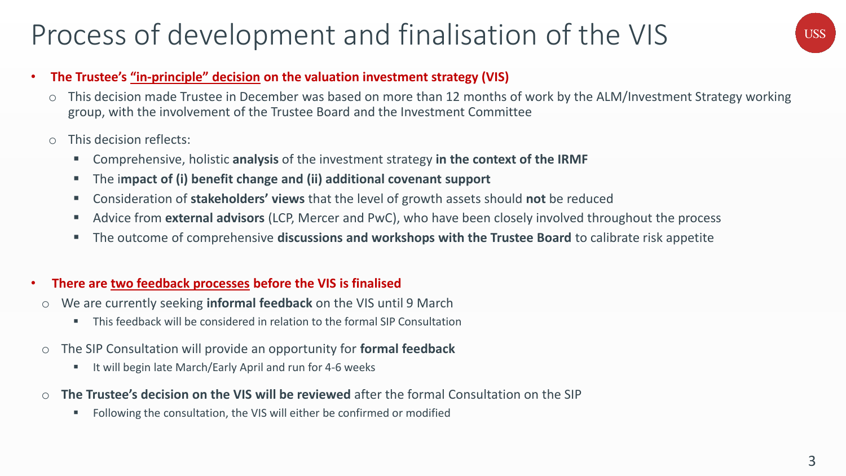### Process of development and finalisation of the VIS

# **USS**

#### • **The Trustee's "in-principle" decision on the valuation investment strategy (VIS)**

- o This decision made Trustee in December was based on more than 12 months of work by the ALM/Investment Strategy working group, with the involvement of the Trustee Board and the Investment Committee
- o This decision reflects:
	- Comprehensive, holistic **analysis** of the investment strategy **in the context of the IRMF**
	- The i**mpact of (i) benefit change and (ii) additional covenant support**
	- Consideration of **stakeholders' views** that the level of growth assets should **not** be reduced
	- Advice from **external advisors** (LCP, Mercer and PwC), who have been closely involved throughout the process
	- The outcome of comprehensive **discussions and workshops with the Trustee Board** to calibrate risk appetite

#### • **There are two feedback processes before the VIS is finalised**

- o We are currently seeking **informal feedback** on the VIS until 9 March
	- This feedback will be considered in relation to the formal SIP Consultation
- o The SIP Consultation will provide an opportunity for **formal feedback**
	- It will begin late March/Early April and run for 4-6 weeks
- o **The Trustee's decision on the VIS will be reviewed** after the formal Consultation on the SIP
	- Following the consultation, the VIS will either be confirmed or modified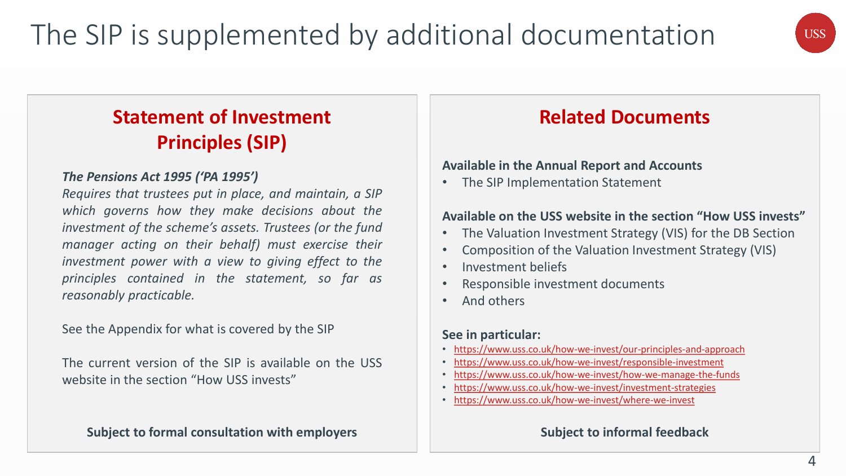# **USS**

### **Statement of Investment Principles (SIP)**

#### *The Pensions Act 1995 ('PA 1995')*

*Requires that trustees put in place, and maintain, a SIP which governs how they make decisions about the investment of the scheme's assets. Trustees (or the fund manager acting on their behalf) must exercise their investment power with a view to giving effect to the principles contained in the statement, so far as reasonably practicable.*

See the Appendix for what is covered by the SIP

The current version of the SIP is available on the USS website in the section "How USS invests"

**Subject to formal consultation with employers**

### **Related Documents**

#### **Available in the Annual Report and Accounts**

• The SIP Implementation Statement

#### **Available on the USS website in the section "How USS invests"**

- The Valuation Investment Strategy (VIS) for the DB Section
- Composition of the Valuation Investment Strategy (VIS)
- Investment beliefs
- Responsible investment documents
- And others

#### **See in particular:**

- <https://www.uss.co.uk/how-we-invest/our-principles-and-approach>
- <https://www.uss.co.uk/how-we-invest/responsible-investment>
- [https://www.uss.co.uk/how-we-invest/how-we-manage-the-funds](https://www.uss.co.uk/how-we-invest/investment-strategies)
- <https://www.uss.co.uk/how-we-invest/investment-strategies>
- <https://www.uss.co.uk/how-we-invest/where-we-invest>

#### **Subject to informal feedback**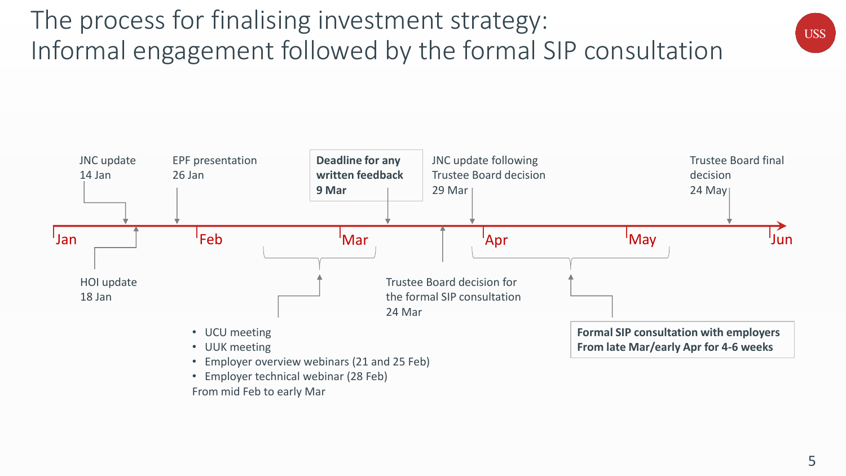



From mid Feb to early Mar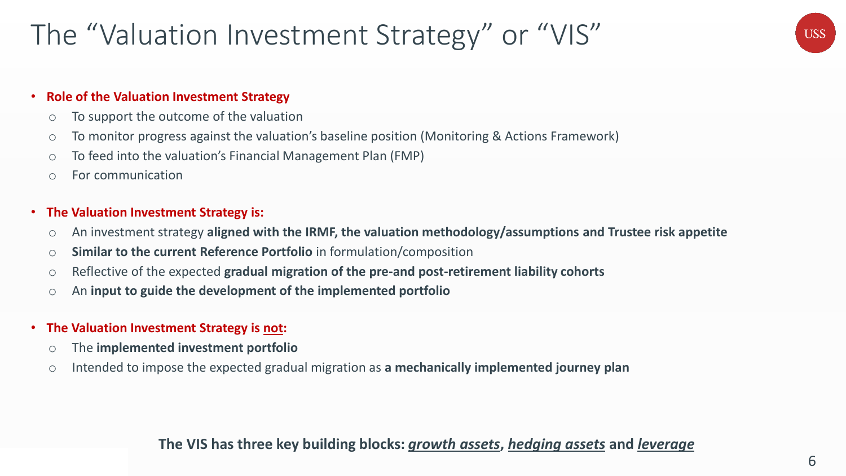### The "Valuation Investment Strategy" or "VIS"

# **USS**

#### • **Role of the Valuation Investment Strategy**

- o To support the outcome of the valuation
- o To monitor progress against the valuation's baseline position (Monitoring & Actions Framework)
- o To feed into the valuation's Financial Management Plan (FMP)
- o For communication

#### • **The Valuation Investment Strategy is:**

- o An investment strategy **aligned with the IRMF, the valuation methodology/assumptions and Trustee risk appetite**
- o **Similar to the current Reference Portfolio** in formulation/composition
- o Reflective of the expected **gradual migration of the pre-and post-retirement liability cohorts**
- o An **input to guide the development of the implemented portfolio**
- **The Valuation Investment Strategy is not:**
	- o The **implemented investment portfolio**
	- o Intended to impose the expected gradual migration as **a mechanically implemented journey plan**

#### **The VIS has three key building blocks:** *growth assets***,** *hedging assets* **and** *leverage*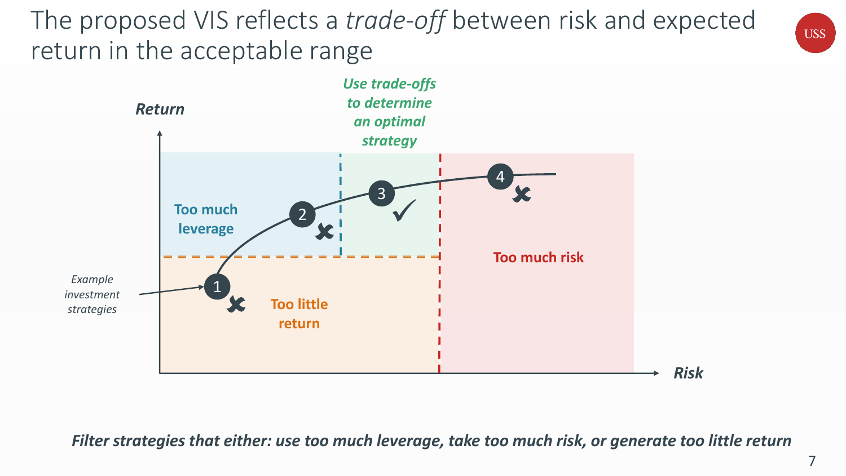The proposed VIS reflects a *trade-off* between risk and expected return in the acceptable range



*Filter strategies that either: use too much leverage, take too much risk, or generate too little return*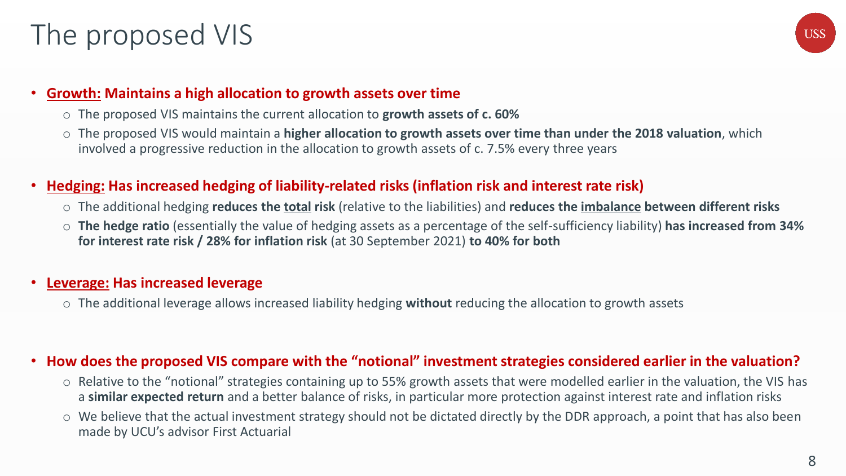### The proposed VIS



#### • **Growth: Maintains a high allocation to growth assets over time**

- o The proposed VIS maintains the current allocation to **growth assets of c. 60%**
- o The proposed VIS would maintain a **higher allocation to growth assets over time than under the 2018 valuation**, which involved a progressive reduction in the allocation to growth assets of c. 7.5% every three years

#### • **Hedging: Has increased hedging of liability-related risks (inflation risk and interest rate risk)**

- o The additional hedging **reduces the total risk** (relative to the liabilities) and **reduces the imbalance between different risks**
- o **The hedge ratio** (essentially the value of hedging assets as a percentage of the self-sufficiency liability) **has increased from 34% for interest rate risk / 28% for inflation risk** (at 30 September 2021) **to 40% for both**

#### • **Leverage: Has increased leverage**

o The additional leverage allows increased liability hedging **without** reducing the allocation to growth assets

#### • **How does the proposed VIS compare with the "notional" investment strategies considered earlier in the valuation?**

- o Relative to the "notional" strategies containing up to 55% growth assets that were modelled earlier in the valuation, the VIS has a **similar expected return** and a better balance of risks, in particular more protection against interest rate and inflation risks
- o We believe that the actual investment strategy should not be dictated directly by the DDR approach, a point that has also been made by UCU's advisor First Actuarial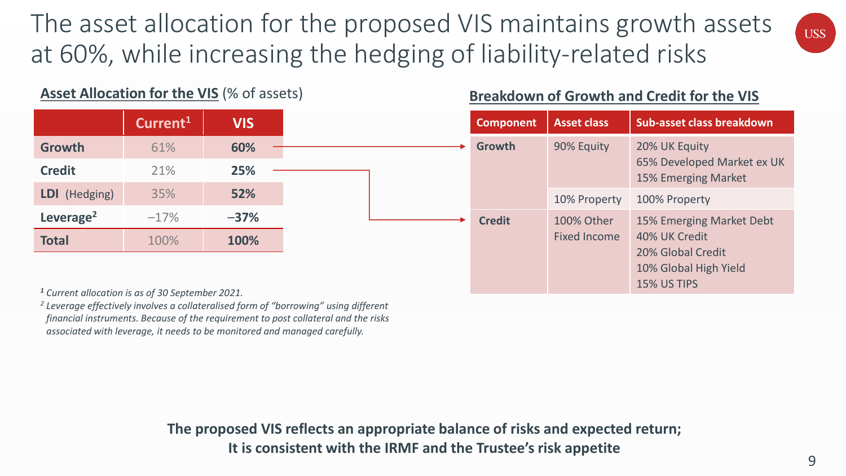The asset allocation for the proposed VIS maintains growth assets at 60%, while increasing the hedging of liability-related risks

#### Asset Allocation for the VIS (% of assets) **Breakdown of Growth and Credit for the VIS**

|                       | Current <sup>1</sup> | <b>VIS</b> |
|-----------------------|----------------------|------------|
| Growth                | 61%                  | 60%        |
| <b>Credit</b>         | 21%                  | 25%        |
| LDI (Hedging)         | 35%                  | 52%        |
| Leverage <sup>2</sup> | $-17%$               | $-37%$     |
| <b>Total</b>          | 100%                 | 100%       |

| <b>Component</b> | <b>Asset class</b>                | Sub-asset class breakdown                                                                                     |
|------------------|-----------------------------------|---------------------------------------------------------------------------------------------------------------|
| <b>Growth</b>    | 90% Equity                        | 20% UK Equity<br>65% Developed Market ex UK<br>15% Emerging Market                                            |
|                  | 10% Property                      | 100% Property                                                                                                 |
| <b>Credit</b>    | 100% Other<br><b>Fixed Income</b> | 15% Emerging Market Debt<br>40% UK Credit<br>20% Global Credit<br>10% Global High Yield<br><b>15% US TIPS</b> |

*<sup>1</sup> Current allocation is as of 30 September 2021.*

*<sup>2</sup> Leverage effectively involves a collateralised form of "borrowing" using different financial instruments. Because of the requirement to post collateral and the risks associated with leverage, it needs to be monitored and managed carefully.*

> **The proposed VIS reflects an appropriate balance of risks and expected return; It is consistent with the IRMF and the Trustee's risk appetite**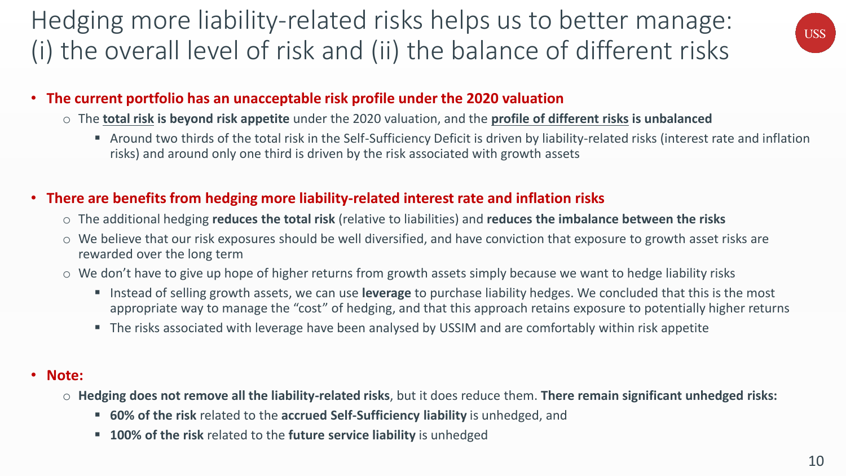### Hedging more liability-related risks helps us to better manage: (i) the overall level of risk and (ii) the balance of different risks



### • **The current portfolio has an unacceptable risk profile under the 2020 valuation**

- o The **total risk is beyond risk appetite** under the 2020 valuation, and the **profile of different risks is unbalanced**
	- Around two thirds of the total risk in the Self-Sufficiency Deficit is driven by liability-related risks (interest rate and inflation risks) and around only one third is driven by the risk associated with growth assets

#### • **There are benefits from hedging more liability-related interest rate and inflation risks**

- o The additional hedging **reduces the total risk** (relative to liabilities) and **reduces the imbalance between the risks**
- o We believe that our risk exposures should be well diversified, and have conviction that exposure to growth asset risks are rewarded over the long term
- o We don't have to give up hope of higher returns from growth assets simply because we want to hedge liability risks
	- Instead of selling growth assets, we can use **leverage** to purchase liability hedges. We concluded that this is the most appropriate way to manage the "cost" of hedging, and that this approach retains exposure to potentially higher returns
	- The risks associated with leverage have been analysed by USSIM and are comfortably within risk appetite

#### • **Note:**

- o **Hedging does not remove all the liability-related risks**, but it does reduce them. **There remain significant unhedged risks:**
	- **60% of the risk** related to the **accrued Self-Sufficiency liability** is unhedged, and
	- **100% of the risk** related to the **future service liability** is unhedged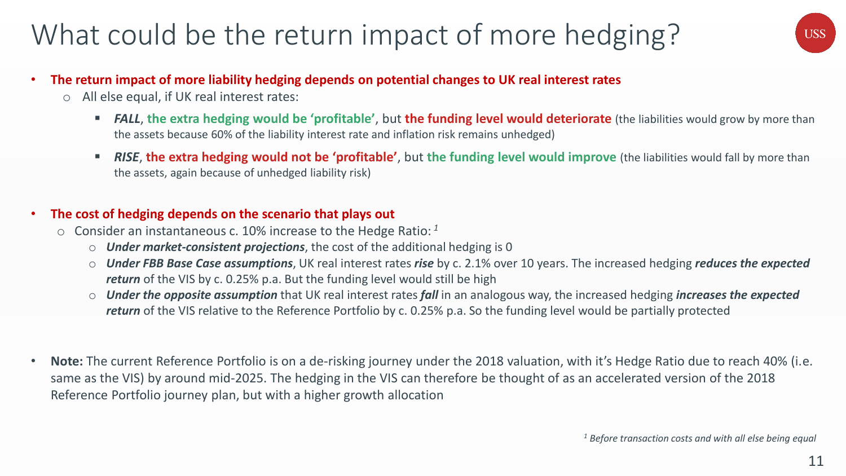### What could be the return impact of more hedging?



- **The return impact of more liability hedging depends on potential changes to UK real interest rates**
	- o All else equal, if UK real interest rates:
		- **FALL**, the extra hedging would be 'profitable', but the funding level would deteriorate (the liabilities would grow by more than the assets because 60% of the liability interest rate and inflation risk remains unhedged)
		- **RISE, the extra hedging would not be 'profitable',** but the funding level would improve (the liabilities would fall by more than the assets, again because of unhedged liability risk)

#### • **The cost of hedging depends on the scenario that plays out**

- o Consider an instantaneous c. 10% increase to the Hedge Ratio: *<sup>1</sup>*
	- o *Under market-consistent projections*, the cost of the additional hedging is 0
	- o *Under FBB Base Case assumptions*, UK real interest rates *rise* by c. 2.1% over 10 years. The increased hedging *reduces the expected return* of the VIS by c. 0.25% p.a. But the funding level would still be high
	- o *Under the opposite assumption* that UK real interest rates *fall* in an analogous way, the increased hedging *increases the expected return* of the VIS relative to the Reference Portfolio by c. 0.25% p.a. So the funding level would be partially protected
- Note: The current Reference Portfolio is on a de-risking journey under the 2018 valuation, with it's Hedge Ratio due to reach 40% (i.e. same as the VIS) by around mid-2025. The hedging in the VIS can therefore be thought of as an accelerated version of the 2018 Reference Portfolio journey plan, but with a higher growth allocation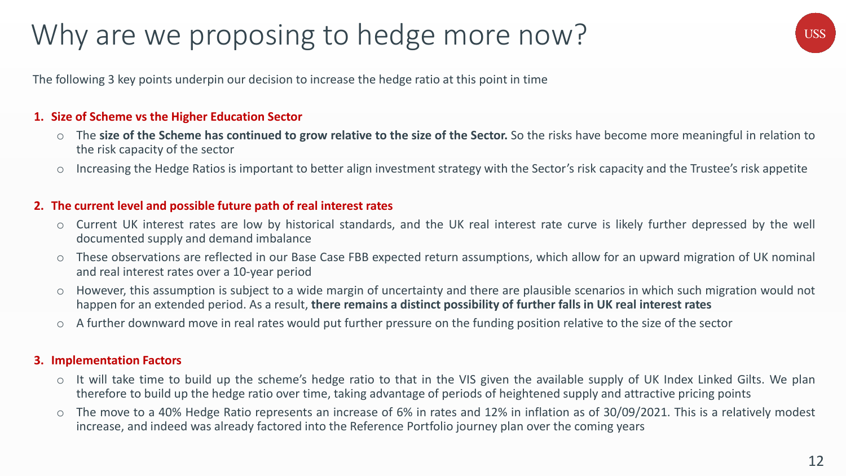### Why are we proposing to hedge more now?

**USS** 

The following 3 key points underpin our decision to increase the hedge ratio at this point in time

#### **1. Size of Scheme vs the Higher Education Sector**

- The size of the Scheme has continued to grow relative to the size of the Sector. So the risks have become more meaningful in relation to the risk capacity of the sector
- Increasing the Hedge Ratios is important to better align investment strategy with the Sector's risk capacity and the Trustee's risk appetite

#### **2. The current level and possible future path of real interest rates**

- o Current UK interest rates are low by historical standards, and the UK real interest rate curve is likely further depressed by the well documented supply and demand imbalance
- These observations are reflected in our Base Case FBB expected return assumptions, which allow for an upward migration of UK nominal and real interest rates over a 10-year period
- o However, this assumption is subject to a wide margin of uncertainty and there are plausible scenarios in which such migration would not happen for an extended period. As a result, **there remains a distinct possibility of further falls in UK real interest rates**
- o A further downward move in real rates would put further pressure on the funding position relative to the size of the sector

#### **3. Implementation Factors**

- o It will take time to build up the scheme's hedge ratio to that in the VIS given the available supply of UK Index Linked Gilts. We plan therefore to build up the hedge ratio over time, taking advantage of periods of heightened supply and attractive pricing points
- o The move to a 40% Hedge Ratio represents an increase of 6% in rates and 12% in inflation as of 30/09/2021. This is a relatively modest increase, and indeed was already factored into the Reference Portfolio journey plan over the coming years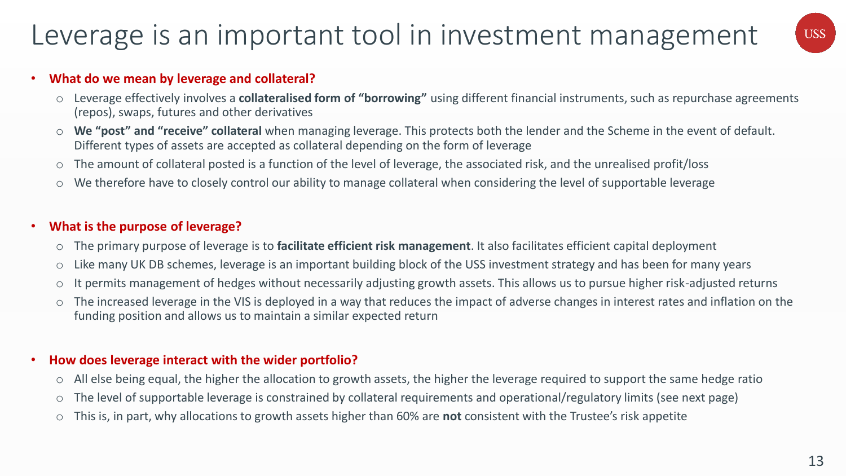### Leverage is an important tool in investment management



#### • **What do we mean by leverage and collateral?**

- o Leverage effectively involves a **collateralised form of "borrowing"** using different financial instruments, such as repurchase agreements (repos), swaps, futures and other derivatives
- We "post" and "receive" collateral when managing leverage. This protects both the lender and the Scheme in the event of default. Different types of assets are accepted as collateral depending on the form of leverage
- o The amount of collateral posted is a function of the level of leverage, the associated risk, and the unrealised profit/loss
- o We therefore have to closely control our ability to manage collateral when considering the level of supportable leverage

#### • **What is the purpose of leverage?**

- o The primary purpose of leverage is to **facilitate efficient risk management**. It also facilitates efficient capital deployment
- o Like many UK DB schemes, leverage is an important building block of the USS investment strategy and has been for many years
- o It permits management of hedges without necessarily adjusting growth assets. This allows us to pursue higher risk-adjusted returns
- o The increased leverage in the VIS is deployed in a way that reduces the impact of adverse changes in interest rates and inflation on the funding position and allows us to maintain a similar expected return

#### • **How does leverage interact with the wider portfolio?**

- o All else being equal, the higher the allocation to growth assets, the higher the leverage required to support the same hedge ratio
- o The level of supportable leverage is constrained by collateral requirements and operational/regulatory limits (see next page)
- o This is, in part, why allocations to growth assets higher than 60% are **not** consistent with the Trustee's risk appetite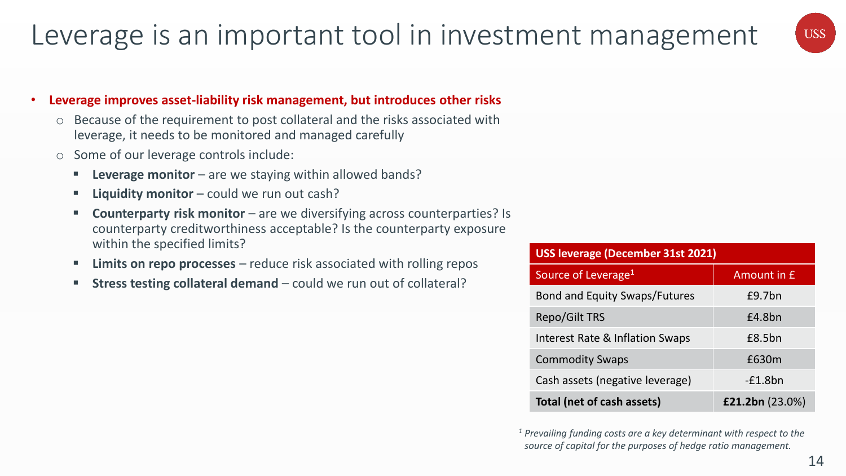### Leverage is an important tool in investment management



#### • **Leverage improves asset-liability risk management, but introduces other risks**

- Because of the requirement to post collateral and the risks associated with leverage, it needs to be monitored and managed carefully
- o Some of our leverage controls include:
	- **Leverage monitor** are we staying within allowed bands?
	- **E** Liquidity monitor could we run out cash?
	- **Counterparty risk monitor** are we diversifying across counterparties? Is counterparty creditworthiness acceptable? Is the counterparty exposure within the specified limits?
	- **EXTERN 12 Limits on repo processes** reduce risk associated with rolling repos
	- **EXTERS FEET IN STRESS TESTING COLLET IS COLLETED FOR THE STRESS TESTION IS STRESS FEET ISON COLLETA**

| <b>USS leverage (December 31st 2021)</b> |                    |  |  |  |  |
|------------------------------------------|--------------------|--|--|--|--|
| Source of Leverage <sup>1</sup>          | <b>Amount in £</b> |  |  |  |  |
| <b>Bond and Equity Swaps/Futures</b>     | £9.7bn             |  |  |  |  |
| <b>Repo/Gilt TRS</b>                     | £4.8bn             |  |  |  |  |
| Interest Rate & Inflation Swaps          | £8.5bn             |  |  |  |  |
| <b>Commodity Swaps</b>                   | £630m              |  |  |  |  |
| Cash assets (negative leverage)          | $-E1.8bn$          |  |  |  |  |
| Total (net of cash assets)               | £21.2bn $(23.0\%)$ |  |  |  |  |

*<sup>1</sup> Prevailing funding costs are a key determinant with respect to the source of capital for the purposes of hedge ratio management.*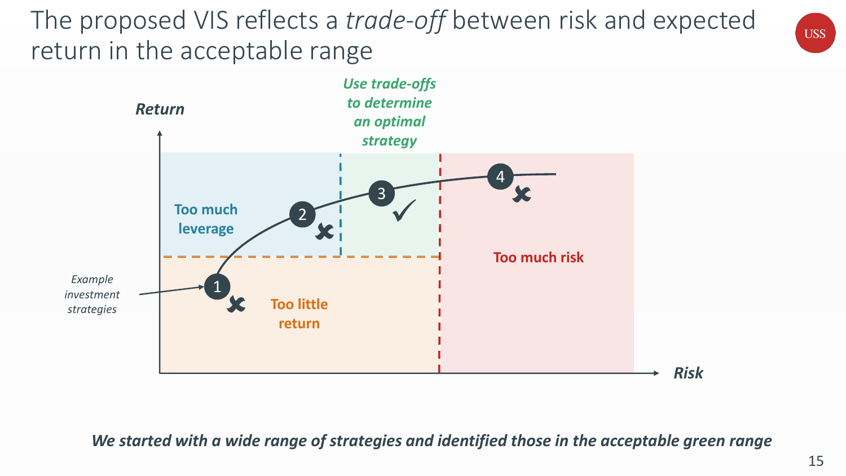The proposed VIS reflects a *trade-off* between risk and expected return in the acceptable range



*We started with a wide range of strategies and identified those in the acceptable green range*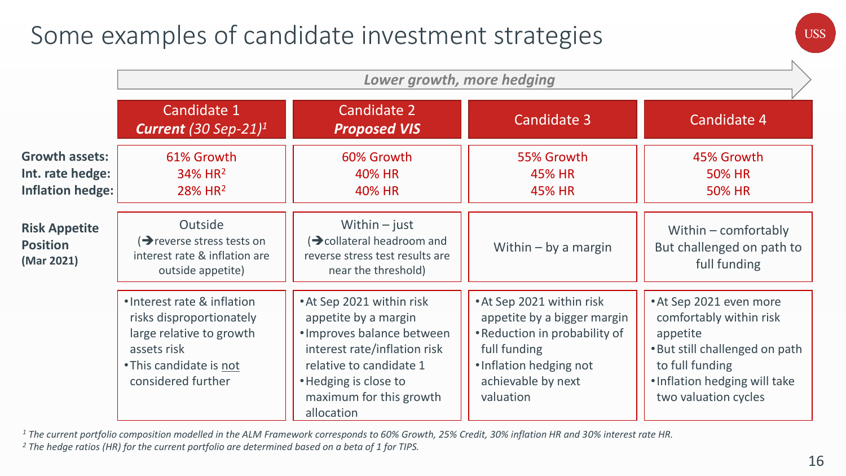### Some examples of candidate investment strategies

|                                                                      | Lower growth, more hedging                                                                                                                          |                                                                                                                                                                                                              |                                                                                                                                                                         |                                                                                                                                                                              |  |
|----------------------------------------------------------------------|-----------------------------------------------------------------------------------------------------------------------------------------------------|--------------------------------------------------------------------------------------------------------------------------------------------------------------------------------------------------------------|-------------------------------------------------------------------------------------------------------------------------------------------------------------------------|------------------------------------------------------------------------------------------------------------------------------------------------------------------------------|--|
|                                                                      | Candidate 1<br><b>Current</b> (30 Sep-21) <sup>1</sup>                                                                                              | Candidate 2<br><b>Proposed VIS</b>                                                                                                                                                                           | Candidate 3                                                                                                                                                             | Candidate 4                                                                                                                                                                  |  |
| <b>Growth assets:</b><br>Int. rate hedge:<br><b>Inflation hedge:</b> | 61% Growth<br>34% HR <sup>2</sup><br>28% HR <sup>2</sup>                                                                                            | 60% Growth<br>40% HR<br>40% HR                                                                                                                                                                               | 55% Growth<br><b>45% HR</b><br>45% HR                                                                                                                                   | 45% Growth<br><b>50% HR</b><br><b>50% HR</b>                                                                                                                                 |  |
| <b>Risk Appetite</b><br><b>Position</b><br>(Mar 2021)                | Outside<br>$\rightarrow$ reverse stress tests on<br>interest rate & inflation are<br>outside appetite)                                              | Within $-$ just<br>$\rightarrow$ collateral headroom and<br>reverse stress test results are<br>near the threshold)                                                                                           | Within $-$ by a margin                                                                                                                                                  | Within $-$ comfortably<br>But challenged on path to<br>full funding                                                                                                          |  |
|                                                                      | . Interest rate & inflation<br>risks disproportionately<br>large relative to growth<br>assets risk<br>• This candidate is not<br>considered further | • At Sep 2021 within risk<br>appetite by a margin<br>· Improves balance between<br>interest rate/inflation risk<br>relative to candidate 1<br>• Hedging is close to<br>maximum for this growth<br>allocation | • At Sep 2021 within risk<br>appetite by a bigger margin<br>• Reduction in probability of<br>full funding<br>. Inflation hedging not<br>achievable by next<br>valuation | • At Sep 2021 even more<br>comfortably within risk<br>appetite<br>. But still challenged on path<br>to full funding<br>. Inflation hedging will take<br>two valuation cycles |  |

*<sup>1</sup> The current portfolio composition modelled in the ALM Framework corresponds to 60% Growth, 25% Credit, 30% inflation HR and 30% interest rate HR.*

*<sup>2</sup> The hedge ratios (HR) for the current portfolio are determined based on a beta of 1 for TIPS.*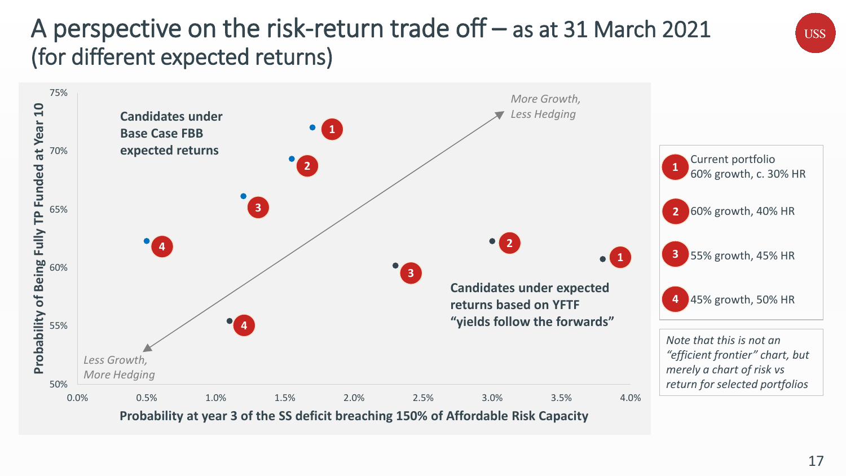### A perspective on the risk-return trade off – as at 31 March 2021 (for different expected returns)